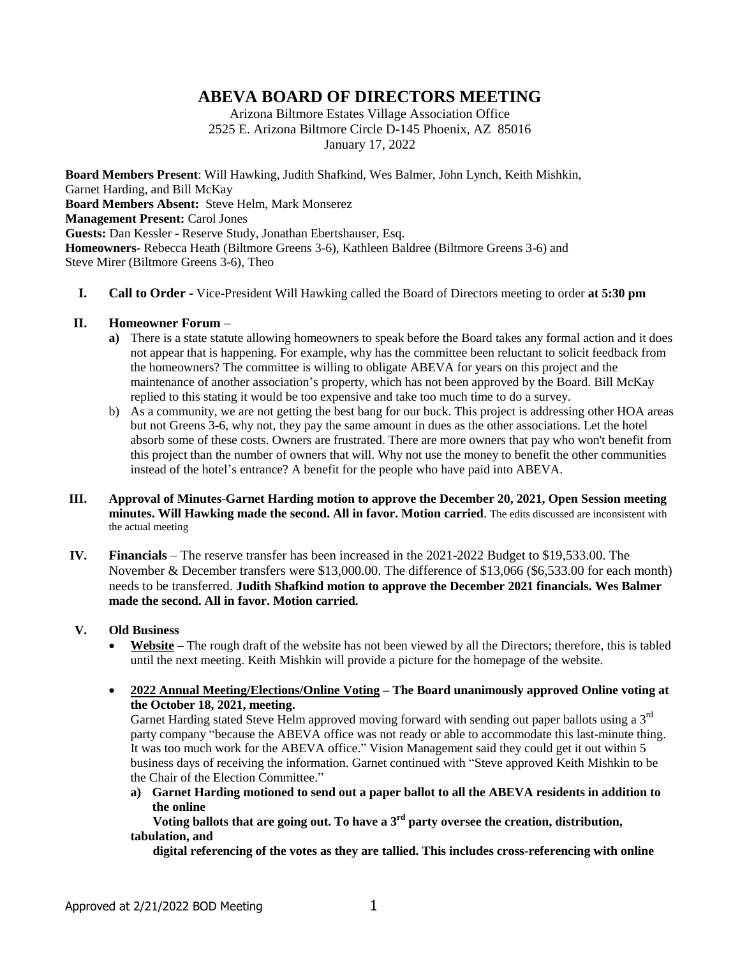# **ABEVA BOARD OF DIRECTORS MEETING**

Arizona Biltmore Estates Village Association Office 2525 E. Arizona Biltmore Circle D-145 Phoenix, AZ 85016 January 17, 2022

**Board Members Present**: Will Hawking, Judith Shafkind, Wes Balmer, John Lynch, Keith Mishkin, Garnet Harding, and Bill McKay **Board Members Absent:** Steve Helm, Mark Monserez **Management Present: Carol Jones Guests:** Dan Kessler - Reserve Study, Jonathan Ebertshauser, Esq. **Homeowners-** Rebecca Heath (Biltmore Greens 3-6), Kathleen Baldree (Biltmore Greens 3-6) and Steve Mirer (Biltmore Greens 3-6), Theo

**I. Call to Order -** Vice-President Will Hawking called the Board of Directors meeting to order **at 5:30 pm**

#### **II. Homeowner Forum** –

- **a**) There is a state statute allowing homeowners to speak before the Board takes any formal action and it does not appear that is happening. For example, why has the committee been reluctant to solicit feedback from the homeowners? The committee is willing to obligate ABEVA for years on this project and the maintenance of another association's property, which has not been approved by the Board. Bill McKay replied to this stating it would be too expensive and take too much time to do a survey.
- b) As a community, we are not getting the best bang for our buck. This project is addressing other HOA areas but not Greens 3-6, why not, they pay the same amount in dues as the other associations. Let the hotel absorb some of these costs. Owners are frustrated. There are more owners that pay who won't benefit from this project than the number of owners that will. Why not use the money to benefit the other communities instead of the hotel's entrance? A benefit for the people who have paid into ABEVA.
- **III. Approval of Minutes**-**Garnet Harding motion to approve the December 20, 2021, Open Session meeting minutes. Will Hawking made the second. All in favor. Motion carried**. The edits discussed are inconsistent with the actual meeting
- **IV. Financials**  The reserve transfer has been increased in the 2021-2022 Budget to \$19,533.00. The November & December transfers were \$13,000.00. The difference of \$13,066 (\$6,533.00 for each month) needs to be transferred. **Judith Shafkind motion to approve the December 2021 financials. Wes Balmer made the second. All in favor. Motion carried.**

### **V. Old Business**

- **Website –** The rough draft of the website has not been viewed by all the Directors; therefore, this is tabled until the next meeting. Keith Mishkin will provide a picture for the homepage of the website.
- **2022 Annual Meeting/Elections/Online Voting – The Board unanimously approved Online voting at the October 18, 2021, meeting.**

Garnet Harding stated Steve Helm approved moving forward with sending out paper ballots using a 3<sup>rd</sup> party company "because the ABEVA office was not ready or able to accommodate this last-minute thing. It was too much work for the ABEVA office." Vision Management said they could get it out within 5 business days of receiving the information. Garnet continued with "Steve approved Keith Mishkin to be the Chair of the Election Committee."

**a) Garnet Harding motioned to send out a paper ballot to all the ABEVA residents in addition to the online** 

 **Voting ballots that are going out. To have a 3rd party oversee the creation, distribution, tabulation, and** 

 **digital referencing of the votes as they are tallied. This includes cross-referencing with online**